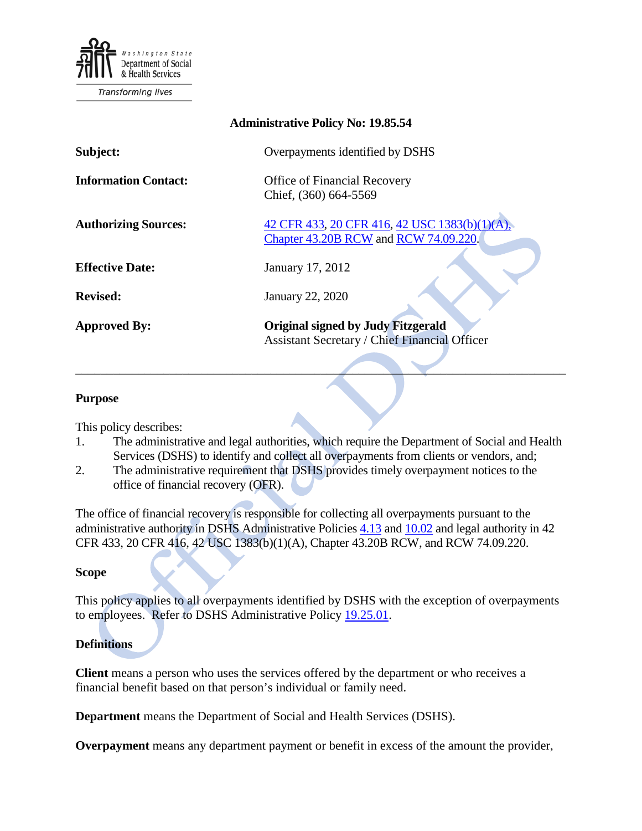

| <b>Administrative Policy No: 19.85.54</b> |                                                                                                   |
|-------------------------------------------|---------------------------------------------------------------------------------------------------|
| Subject:                                  | Overpayments identified by DSHS                                                                   |
| <b>Information Contact:</b>               | <b>Office of Financial Recovery</b><br>Chief, (360) 664-5569                                      |
| <b>Authorizing Sources:</b>               | 42 CFR 433, 20 CFR 416, 42 USC 1383(b)(1)(A),<br>Chapter 43.20B RCW and RCW 74.09.220.            |
| <b>Effective Date:</b>                    | January 17, 2012                                                                                  |
| <b>Revised:</b>                           | January 22, 2020                                                                                  |
| <b>Approved By:</b>                       | <b>Original signed by Judy Fitzgerald</b><br><b>Assistant Secretary / Chief Financial Officer</b> |

## **Purpose**

This policy describes:

1. The administrative and legal authorities, which require the Department of Social and Health Services (DSHS) to identify and collect all overpayments from clients or vendors, and;

 $\mathcal{L} = \{ \mathcal{L} \mid \mathcal{L} \text{ and } \mathcal{L} \}$ 

2. The administrative requirement that DSHS provides timely overpayment notices to the office of financial recovery (OFR).

The office of financial recovery is responsible for collecting all overpayments pursuant to the administrative authority in DSHS Administrative Policies [4.13](http://one.dshs.wa.lcl/Policies/Administrative/DSHS-AP-04-13.pdf) and [10.02](http://one.dshs.wa.lcl/Policies/Administrative/DSHS-AP-10-02.pdf) and legal authority in 42 CFR 433, 20 CFR 416, 42 USC 1383(b)(1)(A), Chapter 43.20B RCW, and RCW 74.09.220.

## **Scope**

This policy applies to all overpayments identified by DSHS with the exception of overpayments to employees. Refer to DSHS Administrative Policy [19.25.01.](http://one.dshs.wa.lcl/Policies/Administrative/DSHS-AP-19-25-01.pdf)

## **Definitions**

**Client** means a person who uses the services offered by the department or who receives a financial benefit based on that person's individual or family need.

**Department** means the Department of Social and Health Services (DSHS).

**Overpayment** means any department payment or benefit in excess of the amount the provider,